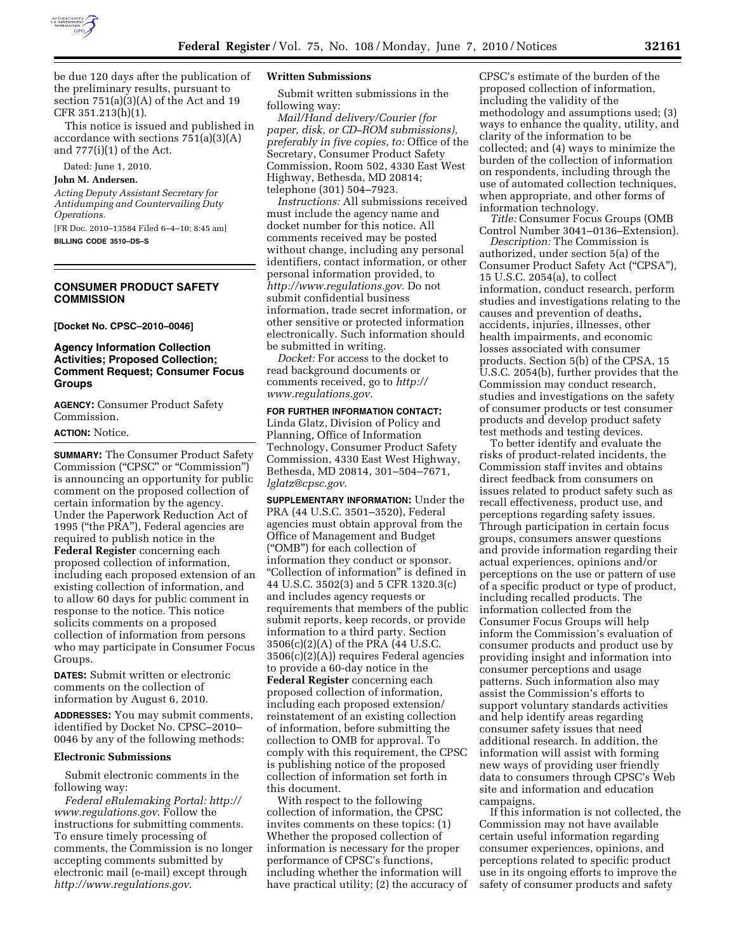

be due 120 days after the publication of the preliminary results, pursuant to section  $751(a)(3)(A)$  of the Act and 19 CFR 351.213(h)(1).

This notice is issued and published in accordance with sections 751(a)(3)(A) and 777(i)(1) of the Act.

Dated: June 1, 2010.

### **John M. Andersen.**

*Acting Deputy Assistant Secretary for Antidumping and Countervailing Duty Operations.* 

[FR Doc. 2010–13584 Filed 6–4–10; 8:45 am]

### **BILLING CODE 3510–DS–S**

### **CONSUMER PRODUCT SAFETY COMMISSION**

**[Docket No. CPSC–2010–0046]** 

## **Agency Information Collection Activities; Proposed Collection; Comment Request; Consumer Focus Groups**

**AGENCY:** Consumer Product Safety Commission.

#### **ACTION:** Notice.

**SUMMARY:** The Consumer Product Safety Commission (''CPSC'' or ''Commission'') is announcing an opportunity for public comment on the proposed collection of certain information by the agency. Under the Paperwork Reduction Act of 1995 (''the PRA''), Federal agencies are required to publish notice in the **Federal Register** concerning each proposed collection of information, including each proposed extension of an existing collection of information, and to allow 60 days for public comment in response to the notice. This notice solicits comments on a proposed collection of information from persons who may participate in Consumer Focus Groups.

**DATES:** Submit written or electronic comments on the collection of information by August 6, 2010.

**ADDRESSES:** You may submit comments, identified by Docket No. CPSC–2010– 0046 by any of the following methods:

#### **Electronic Submissions**

Submit electronic comments in the following way:

*Federal eRulemaking Portal: http:// www.regulations.gov*. Follow the instructions for submitting comments. To ensure timely processing of comments, the Commission is no longer accepting comments submitted by electronic mail (e-mail) except through *http://www.regulations.gov*.

### **Written Submissions**

Submit written submissions in the following way:

*Mail/Hand delivery/Courier (for paper, disk, or CD–ROM submissions), preferably in five copies, to:* Office of the Secretary, Consumer Product Safety Commission, Room 502, 4330 East West Highway, Bethesda, MD 20814; telephone (301) 504–7923.

*Instructions:* All submissions received must include the agency name and docket number for this notice. All comments received may be posted without change, including any personal identifiers, contact information, or other personal information provided, to *http://www.regulations.gov*. Do not submit confidential business information, trade secret information, or other sensitive or protected information electronically. Such information should be submitted in writing.

*Docket:* For access to the docket to read background documents or comments received, go to *http:// www.regulations.gov*.

**FOR FURTHER INFORMATION CONTACT:**  Linda Glatz, Division of Policy and Planning, Office of Information Technology, Consumer Product Safety Commission, 4330 East West Highway, Bethesda, MD 20814, 301–504–7671, *lglatz@cpsc.gov*.

**SUPPLEMENTARY INFORMATION:** Under the PRA (44 U.S.C. 3501–3520), Federal agencies must obtain approval from the Office of Management and Budget (''OMB'') for each collection of information they conduct or sponsor. ''Collection of information'' is defined in 44 U.S.C. 3502(3) and 5 CFR 1320.3(c) and includes agency requests or requirements that members of the public submit reports, keep records, or provide information to a third party. Section 3506(c)(2)(A) of the PRA (44 U.S.C. 3506(c)(2)(A)) requires Federal agencies to provide a 60-day notice in the **Federal Register** concerning each proposed collection of information, including each proposed extension/ reinstatement of an existing collection of information, before submitting the collection to OMB for approval. To comply with this requirement, the CPSC

this document. With respect to the following collection of information, the CPSC invites comments on these topics: (1) Whether the proposed collection of information is necessary for the proper performance of CPSC's functions, including whether the information will have practical utility; (2) the accuracy of

is publishing notice of the proposed collection of information set forth in

CPSC's estimate of the burden of the proposed collection of information, including the validity of the methodology and assumptions used; (3) ways to enhance the quality, utility, and clarity of the information to be collected; and (4) ways to minimize the burden of the collection of information on respondents, including through the use of automated collection techniques, when appropriate, and other forms of information technology.

*Title:* Consumer Focus Groups (OMB Control Number 3041–0136–Extension).

*Description:* The Commission is authorized, under section 5(a) of the Consumer Product Safety Act (''CPSA''), 15 U.S.C. 2054(a), to collect information, conduct research, perform studies and investigations relating to the causes and prevention of deaths, accidents, injuries, illnesses, other health impairments, and economic losses associated with consumer products. Section 5(b) of the CPSA, 15 U.S.C. 2054(b), further provides that the Commission may conduct research, studies and investigations on the safety of consumer products or test consumer products and develop product safety test methods and testing devices.

To better identify and evaluate the risks of product-related incidents, the Commission staff invites and obtains direct feedback from consumers on issues related to product safety such as recall effectiveness, product use, and perceptions regarding safety issues. Through participation in certain focus groups, consumers answer questions and provide information regarding their actual experiences, opinions and/or perceptions on the use or pattern of use of a specific product or type of product, including recalled products. The information collected from the Consumer Focus Groups will help inform the Commission's evaluation of consumer products and product use by providing insight and information into consumer perceptions and usage patterns. Such information also may assist the Commission's efforts to support voluntary standards activities and help identify areas regarding consumer safety issues that need additional research. In addition, the information will assist with forming new ways of providing user friendly data to consumers through CPSC's Web site and information and education campaigns.

If this information is not collected, the Commission may not have available certain useful information regarding consumer experiences, opinions, and perceptions related to specific product use in its ongoing efforts to improve the safety of consumer products and safety